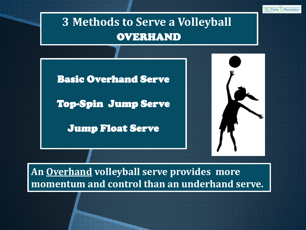

**An Overhand volleyball serve provides more momentum and control than an underhand serve.**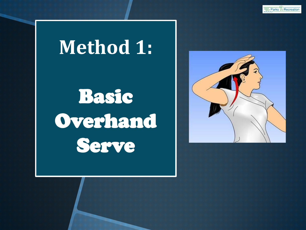# **Method 1:**

Basic Overhand Serve

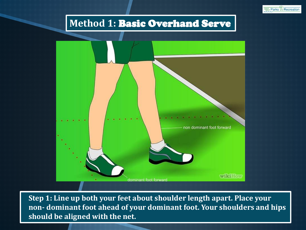

### **Method 1:** Basic Overhand Serve



 **Step 1: Line up both your feet about shoulder length apart. Place your non- dominant foot ahead of your dominant foot. Your shoulders and hips should be aligned with the net.**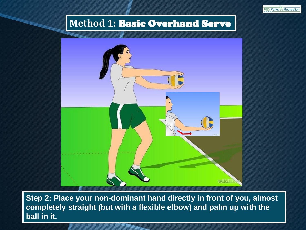

### **Method 1:** Basic Overhand Serve



**Step 2: Place your non-dominant hand directly in front of you, almost completely straight (but with a flexible elbow) and palm up with the ball in it.**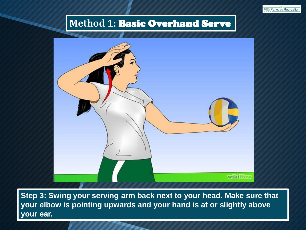



**Step 3: Swing your serving arm back next to your head. Make sure that your elbow is pointing upwards and your hand is at or slightly above your ear.**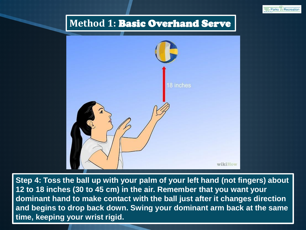



**Step 4: Toss the ball up with your palm of your left hand (not fingers) about 12 to 18 inches (30 to 45 cm) in the air. Remember that you want your dominant hand to make contact with the ball just after it changes direction and begins to drop back down. Swing your dominant arm back at the same time, keeping your wrist rigid.**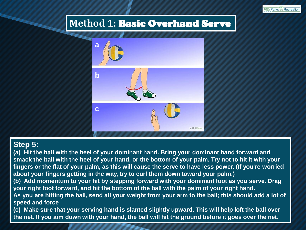



#### **Step 5:**

**(a) Hit the ball with the heel of your dominant hand. Bring your dominant hand forward and smack the ball with the heel of your hand, or the bottom of your palm. Try not to hit it with your fingers or the flat of your palm, as this will cause the serve to have less power. (If you're worried about your fingers getting in the way, try to curl them down toward your palm.) (b) Add momentum to your hit by stepping forward with your dominant foot as you serve. Drag your right foot forward, and hit the bottom of the ball with the palm of your right hand. As you are hitting the ball, send all your weight from your arm to the ball; this should add a lot of speed and force**

**(c) Make sure that your serving hand is slanted slightly upward. This will help loft the ball over the net. If you aim down with your hand, the ball will hit the ground before it goes over the net.**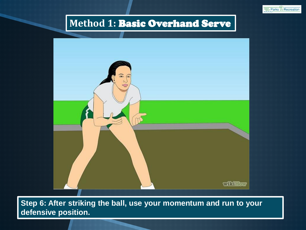



**Step 6: After striking the ball, use your momentum and run to your defensive position.**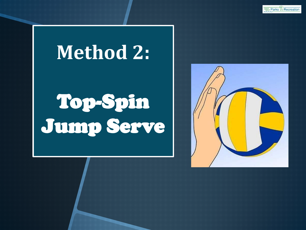## **Method 2:**

# Top-Spin Jump Serve

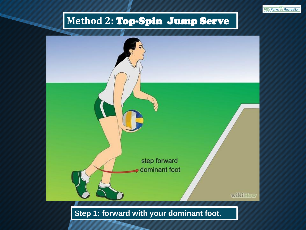### **Method 2:** Top-Spin Jump Serve

Saint Parks and Recreation

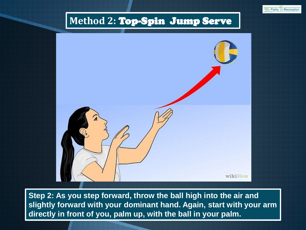



**Step 2: As you step forward, throw the ball high into the air and slightly forward with your dominant hand. Again, start with your arm directly in front of you, palm up, with the ball in your palm.**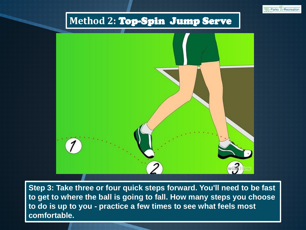### **Method 2:** Top-Spin Jump Serve

Saint Parks and Recreation



**Step 3: Take three or four quick steps forward. You'll need to be fast to get to where the ball is going to fall. How many steps you choose to do is up to you - practice a few times to see what feels most comfortable.**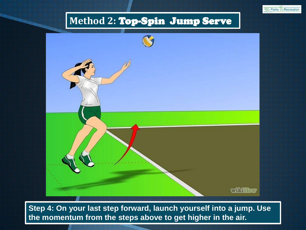



**Step 4: On your last step forward, launch yourself into a jump. Use the momentum from the steps above to get higher in the air.**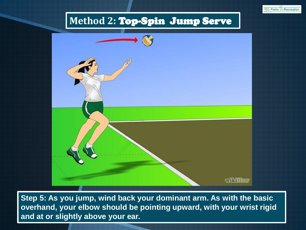



**Step 5: As you jump, wind back your dominant arm. As with the basic overhand, your elbow should be pointing upward, with your wrist rigid and at or slightly above your ear.**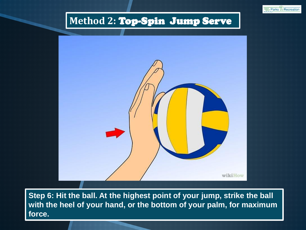### **Method 2:** Top-Spin Jump Serve

Saint Parks and Recreation



Step 6: Hit the ball. At the highest point of your jump, strike the ball **with the heel of your hand, or the bottom of your palm, for maximum force.**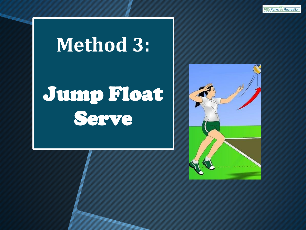# **Method 3:**

# Jump Float Serve

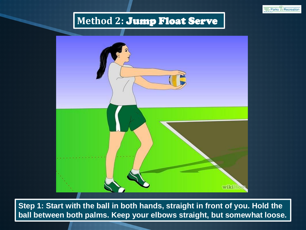



**Step 1: Start with the ball in both hands, straight in front of you. Hold the ball between both palms. Keep your elbows straight, but somewhat loose.**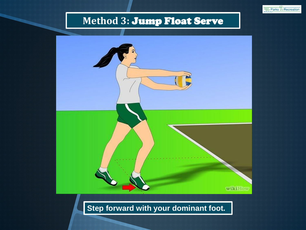



#### **Step forward with your dominant foot.**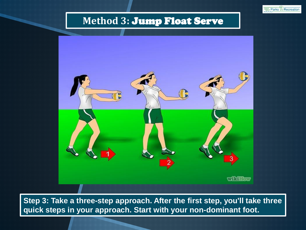Saint Parks and Recreation



**Step 3: Take a three-step approach. After the first step, you'll take three quick steps in your approach. Start with your non-dominant foot.**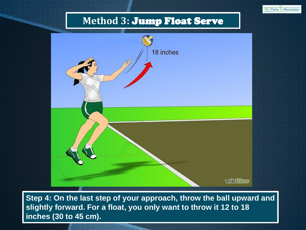Saint Parks and Recreation



**Step 4: On the last step of your approach, throw the ball upward and slightly forward. For a float, you only want to throw it 12 to 18 inches (30 to 45 cm).**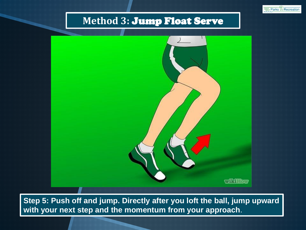



**Step 5: Push off and jump. Directly after you loft the ball, jump upward with your next step and the momentum from your approach**.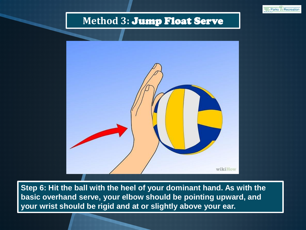



**Step 6: Hit the ball with the heel of your dominant hand. As with the basic overhand serve, your elbow should be pointing upward, and your wrist should be rigid and at or slightly above your ear.**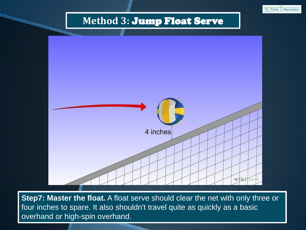Saint Parks and Recreation



**Step7: Master the float.** A float serve should clear the net with only three or four inches to spare. It also shouldn't travel quite as quickly as a basic overhand or high-spin overhand.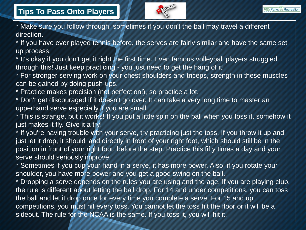

\* Make sure you follow through, sometimes if you don't the ball may travel a different direction.

\* If you have ever played tennis before, the serves are fairly similar and have the same set up process.

\* It's okay if you don't get it right the first time. Even famous volleyball players struggled through this! Just keep practicing - you just need to get the hang of it!

\* For stronger serving work on your chest shoulders and triceps, strength in these muscles can be gained by doing push-ups.

\* Practice makes precision (not perfection!), so practice a lot.

\* Don't get discouraged if it doesn't go over. It can take a very long time to master an upperhand serve especially if you are small.

\* This is strange, but it works! If you put a little spin on the ball when you toss it, somehow it just makes it fly. Give it a try!

\* If you're having trouble with your serve, try practicing just the toss. If you throw it up and just let it drop, it should land directly in front of your right foot, which should still be in the position in front of your right foot, before the step. Practice this fifty times a day and your serve should seriously improve.

\* Sometimes if you cup your hand in a serve, it has more power. Also, if you rotate your shoulder, you have more power and you get a good swing on the ball.

\* Dropping a serve depends on the rules you are using and the age. If you are playing club, the rule is different about letting the ball drop. For 14 and under competitions, you can toss the ball and let it drop once for every time you complete a serve. For 15 and up competitions, you must hit every toss. You cannot let the toss hit the floor or it will be a sideout. The rule for the NCAA is the same. If you toss it, you will hit it.